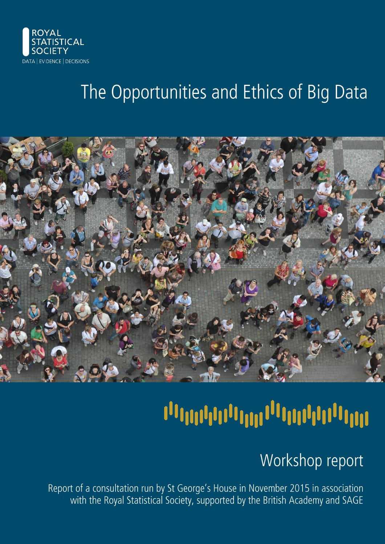

## The Opportunities and Ethics of Big Data



# 

### Workshop report

Report of a consultation run by St George's House in November 2015 in association with the Royal Statistical Society, supported by the British Academy and SAGE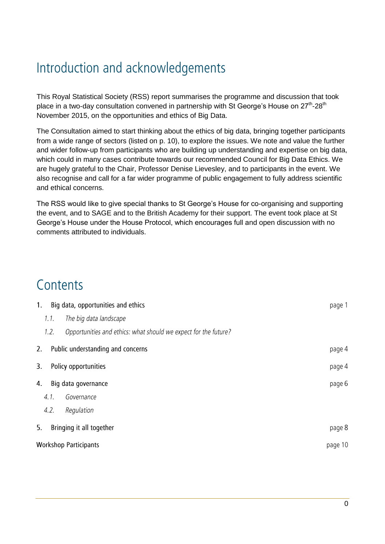### Introduction and acknowledgements

This Royal Statistical Society (RSS) report summarises the programme and discussion that took place in a two-day consultation convened in partnership with St George's House on 27<sup>th</sup>-28<sup>th</sup> November 2015, on the opportunities and ethics of Big Data.

The Consultation aimed to start thinking about the ethics of big data, bringing together participants from a wide range of sectors (listed on p. 10), to explore the issues. We note and value the further and wider follow-up from participants who are building up understanding and expertise on big data, which could in many cases contribute towards our recommended Council for Big Data Ethics. We are hugely grateful to the Chair, Professor Denise Lievesley, and to participants in the event. We also recognise and call for a far wider programme of public engagement to fully address scientific and ethical concerns.

The RSS would like to give special thanks to St George's House for co-organising and supporting the event, and to SAGE and to the British Academy for their support. The event took place at St George's House under the House Protocol, which encourages full and open discussion with no comments attributed to individuals.

#### Contents

| $1_{-}$ |                                         | Big data, opportunities and ethics                              | page 1 |
|---------|-----------------------------------------|-----------------------------------------------------------------|--------|
|         | 1.1.                                    | The big data landscape                                          |        |
|         | 1.2.                                    | Opportunities and ethics: what should we expect for the future? |        |
| 2.      |                                         | Public understanding and concerns                               | page 4 |
| 3.      |                                         | Policy opportunities                                            | page 4 |
| 4.      |                                         | Big data governance                                             | page 6 |
|         | 4.1.                                    | Governance                                                      |        |
|         | 4.2.                                    | Regulation                                                      |        |
| 5.      |                                         | Bringing it all together                                        | page 8 |
|         | <b>Workshop Participants</b><br>page 10 |                                                                 |        |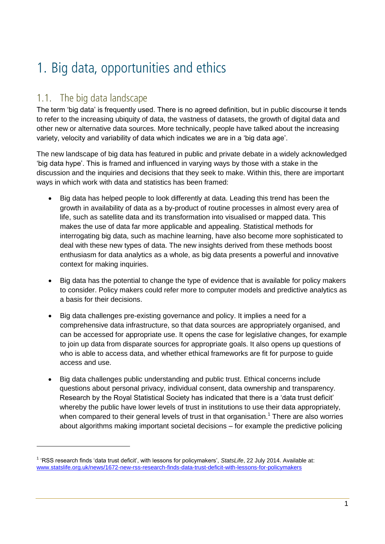### 1. Big data, opportunities and ethics

#### 1.1. The big data landscape

The term 'big data' is frequently used. There is no agreed definition, but in public discourse it tends to refer to the increasing ubiquity of data, the vastness of datasets, the growth of digital data and other new or alternative data sources. More technically, people have talked about the increasing variety, velocity and variability of data which indicates we are in a 'big data age'.

The new landscape of big data has featured in public and private debate in a widely acknowledged 'big data hype'. This is framed and influenced in varying ways by those with a stake in the discussion and the inquiries and decisions that they seek to make. Within this, there are important ways in which work with data and statistics has been framed:

- Big data has helped people to look differently at data. Leading this trend has been the growth in availability of data as a by-product of routine processes in almost every area of life, such as satellite data and its transformation into visualised or mapped data. This makes the use of data far more applicable and appealing. Statistical methods for interrogating big data, such as machine learning, have also become more sophisticated to deal with these new types of data. The new insights derived from these methods boost enthusiasm for data analytics as a whole, as big data presents a powerful and innovative context for making inquiries.
- Big data has the potential to change the type of evidence that is available for policy makers to consider. Policy makers could refer more to computer models and predictive analytics as a basis for their decisions.
- Big data challenges pre-existing governance and policy. It implies a need for a comprehensive data infrastructure, so that data sources are appropriately organised, and can be accessed for appropriate use. It opens the case for legislative changes, for example to join up data from disparate sources for appropriate goals. It also opens up questions of who is able to access data, and whether ethical frameworks are fit for purpose to guide access and use.
- Big data challenges public understanding and public trust. Ethical concerns include questions about personal privacy, individual consent, data ownership and transparency. Research by the Royal Statistical Society has indicated that there is a 'data trust deficit' whereby the public have lower levels of trust in institutions to use their data appropriately, when compared to their general levels of trust in that organisation.<sup>1</sup> There are also worries about algorithms making important societal decisions – for example the predictive policing

<sup>&</sup>lt;sup>1</sup> 'RSS research finds 'data trust deficit', with lessons for policymakers', StatsLife, 22 July 2014. Available at: [www.statslife.org.uk/news/1672-new-rss-research-finds-data-trust-deficit-with-lessons-for-policymakers](http://www.statslife.org.uk/news/1672-new-rss-research-finds-data-trust-deficit-with-lessons-for-policymakers)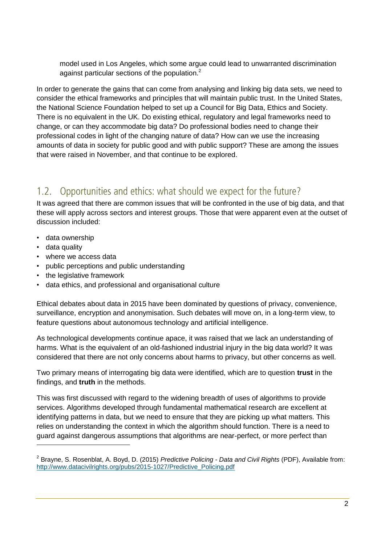model used in Los Angeles, which some argue could lead to unwarranted discrimination against particular sections of the population.<sup>2</sup>

In order to generate the gains that can come from analysing and linking big data sets, we need to consider the ethical frameworks and principles that will maintain public trust. In the United States, the National Science Foundation helped to set up a Council for Big Data, Ethics and Society. There is no equivalent in the UK. Do existing ethical, regulatory and legal frameworks need to change, or can they accommodate big data? Do professional bodies need to change their professional codes in light of the changing nature of data? How can we use the increasing amounts of data in society for public good and with public support? These are among the issues that were raised in November, and that continue to be explored.

#### Opportunities and ethics: what should we expect for the future?  $1.2.$

It was agreed that there are common issues that will be confronted in the use of big data, and that these will apply across sectors and interest groups. Those that were apparent even at the outset of discussion included:

- data ownership
- data quality

- where we access data
- public perceptions and public understanding
- the legislative framework
- data ethics, and professional and organisational culture

Ethical debates about data in 2015 have been dominated by questions of privacy, convenience, surveillance, encryption and anonymisation. Such debates will move on, in a long-term view, to feature questions about autonomous technology and artificial intelligence.

As technological developments continue apace, it was raised that we lack an understanding of harms. What is the equivalent of an old-fashioned industrial injury in the big data world? It was considered that there are not only concerns about harms to privacy, but other concerns as well.

Two primary means of interrogating big data were identified, which are to question **trust** in the findings, and **truth** in the methods.

This was first discussed with regard to the widening breadth of uses of algorithms to provide services. Algorithms developed through fundamental mathematical research are excellent at identifying patterns in data, but we need to ensure that they are picking up what matters. This relies on understanding the context in which the algorithm should function. There is a need to guard against dangerous assumptions that algorithms are near-perfect, or more perfect than

<sup>2</sup> Brayne, S. Rosenblat, A. Boyd, D. (2015) *Predictive Policing - Data and Civil Rights* (PDF), Available from: [http://www.datacivilrights.org/pubs/2015-1027/Predictive\\_Policing.pdf](http://www.datacivilrights.org/pubs/2015-1027/Predictive_Policing.pdf)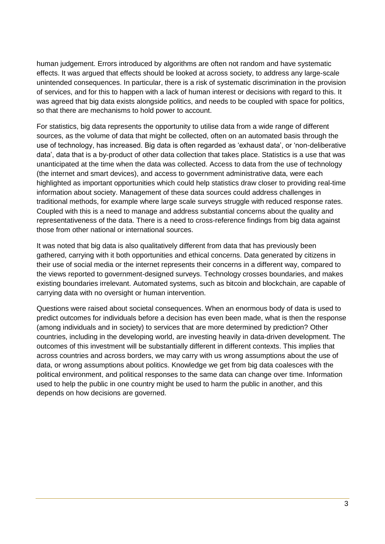human judgement. Errors introduced by algorithms are often not random and have systematic effects. It was argued that effects should be looked at across society, to address any large-scale unintended consequences. In particular, there is a risk of systematic discrimination in the provision of services, and for this to happen with a lack of human interest or decisions with regard to this. It was agreed that big data exists alongside politics, and needs to be coupled with space for politics, so that there are mechanisms to hold power to account.

For statistics, big data represents the opportunity to utilise data from a wide range of different sources, as the volume of data that might be collected, often on an automated basis through the use of technology, has increased. Big data is often regarded as 'exhaust data', or 'non-deliberative data', data that is a by-product of other data collection that takes place. Statistics is a use that was unanticipated at the time when the data was collected. Access to data from the use of technology (the internet and smart devices), and access to government administrative data, were each highlighted as important opportunities which could help statistics draw closer to providing real-time information about society. Management of these data sources could address challenges in traditional methods, for example where large scale surveys struggle with reduced response rates. Coupled with this is a need to manage and address substantial concerns about the quality and representativeness of the data. There is a need to cross-reference findings from big data against those from other national or international sources.

It was noted that big data is also qualitatively different from data that has previously been gathered, carrying with it both opportunities and ethical concerns. Data generated by citizens in their use of social media or the internet represents their concerns in a different way, compared to the views reported to government-designed surveys. Technology crosses boundaries, and makes existing boundaries irrelevant. Automated systems, such as bitcoin and blockchain, are capable of carrying data with no oversight or human intervention.

Questions were raised about societal consequences. When an enormous body of data is used to predict outcomes for individuals before a decision has even been made, what is then the response (among individuals and in society) to services that are more determined by prediction? Other countries, including in the developing world, are investing heavily in data-driven development. The outcomes of this investment will be substantially different in different contexts. This implies that across countries and across borders, we may carry with us wrong assumptions about the use of data, or wrong assumptions about politics. Knowledge we get from big data coalesces with the political environment, and political responses to the same data can change over time. Information used to help the public in one country might be used to harm the public in another, and this depends on how decisions are governed.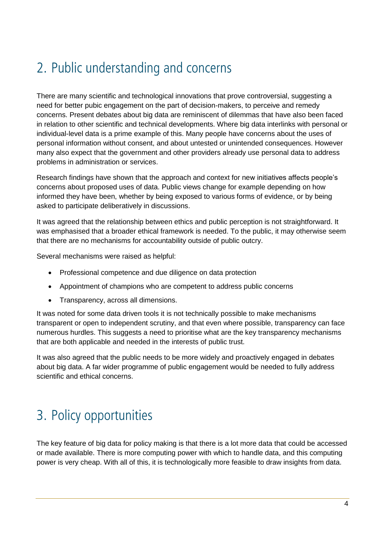### 2. Public understanding and concerns

There are many scientific and technological innovations that prove controversial, suggesting a need for better pubic engagement on the part of decision-makers, to perceive and remedy concerns. Present debates about big data are reminiscent of dilemmas that have also been faced in relation to other scientific and technical developments. Where big data interlinks with personal or individual-level data is a prime example of this. Many people have concerns about the uses of personal information without consent, and about untested or unintended consequences. However many also expect that the government and other providers already use personal data to address problems in administration or services.

Research findings have shown that the approach and context for new initiatives affects people's concerns about proposed uses of data. Public views change for example depending on how informed they have been, whether by being exposed to various forms of evidence, or by being asked to participate deliberatively in discussions.

It was agreed that the relationship between ethics and public perception is not straightforward. It was emphasised that a broader ethical framework is needed. To the public, it may otherwise seem that there are no mechanisms for accountability outside of public outcry.

Several mechanisms were raised as helpful:

- Professional competence and due diligence on data protection
- Appointment of champions who are competent to address public concerns
- Transparency, across all dimensions.

It was noted for some data driven tools it is not technically possible to make mechanisms transparent or open to independent scrutiny, and that even where possible, transparency can face numerous hurdles. This suggests a need to prioritise what are the key transparency mechanisms that are both applicable and needed in the interests of public trust.

It was also agreed that the public needs to be more widely and proactively engaged in debates about big data. A far wider programme of public engagement would be needed to fully address scientific and ethical concerns.

### 3. Policy opportunities

The key feature of big data for policy making is that there is a lot more data that could be accessed or made available. There is more computing power with which to handle data, and this computing power is very cheap. With all of this, it is technologically more feasible to draw insights from data.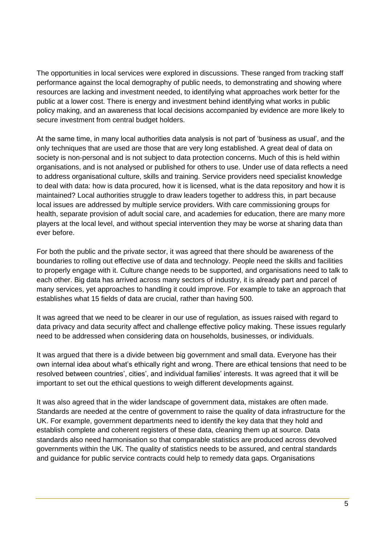The opportunities in local services were explored in discussions. These ranged from tracking staff performance against the local demography of public needs, to demonstrating and showing where resources are lacking and investment needed, to identifying what approaches work better for the public at a lower cost. There is energy and investment behind identifying what works in public policy making, and an awareness that local decisions accompanied by evidence are more likely to secure investment from central budget holders.

At the same time, in many local authorities data analysis is not part of 'business as usual', and the only techniques that are used are those that are very long established. A great deal of data on society is non-personal and is not subject to data protection concerns. Much of this is held within organisations, and is not analysed or published for others to use. Under use of data reflects a need to address organisational culture, skills and training. Service providers need specialist knowledge to deal with data: how is data procured, how it is licensed, what is the data repository and how it is maintained? Local authorities struggle to draw leaders together to address this, in part because local issues are addressed by multiple service providers. With care commissioning groups for health, separate provision of adult social care, and academies for education, there are many more players at the local level, and without special intervention they may be worse at sharing data than ever before.

For both the public and the private sector, it was agreed that there should be awareness of the boundaries to rolling out effective use of data and technology. People need the skills and facilities to properly engage with it. Culture change needs to be supported, and organisations need to talk to each other. Big data has arrived across many sectors of industry, it is already part and parcel of many services, yet approaches to handling it could improve. For example to take an approach that establishes what 15 fields of data are crucial, rather than having 500.

It was agreed that we need to be clearer in our use of regulation, as issues raised with regard to data privacy and data security affect and challenge effective policy making. These issues regularly need to be addressed when considering data on households, businesses, or individuals.

It was argued that there is a divide between big government and small data. Everyone has their own internal idea about what's ethically right and wrong. There are ethical tensions that need to be resolved between countries', cities', and individual families' interests. It was agreed that it will be important to set out the ethical questions to weigh different developments against.

It was also agreed that in the wider landscape of government data, mistakes are often made. Standards are needed at the centre of government to raise the quality of data infrastructure for the UK. For example, government departments need to identify the key data that they hold and establish complete and coherent registers of these data, cleaning them up at source. Data standards also need harmonisation so that comparable statistics are produced across devolved governments within the UK. The quality of statistics needs to be assured, and central standards and guidance for public service contracts could help to remedy data gaps. Organisations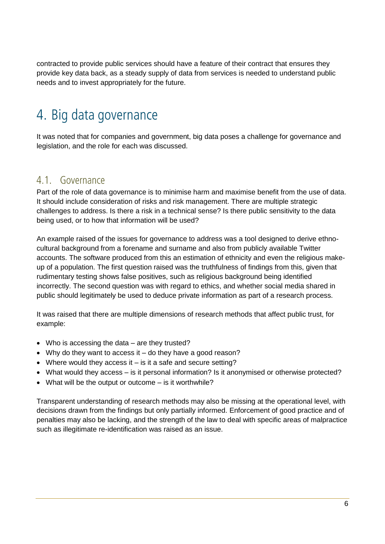contracted to provide public services should have a feature of their contract that ensures they provide key data back, as a steady supply of data from services is needed to understand public needs and to invest appropriately for the future.

### 4. Big data governance

It was noted that for companies and government, big data poses a challenge for governance and legislation, and the role for each was discussed.

#### 4.1. Governance

Part of the role of data governance is to minimise harm and maximise benefit from the use of data. It should include consideration of risks and risk management. There are multiple strategic challenges to address. Is there a risk in a technical sense? Is there public sensitivity to the data being used, or to how that information will be used?

An example raised of the issues for governance to address was a tool designed to derive ethnocultural background from a forename and surname and also from publicly available Twitter accounts. The software produced from this an estimation of ethnicity and even the religious makeup of a population. The first question raised was the truthfulness of findings from this, given that rudimentary testing shows false positives, such as religious background being identified incorrectly. The second question was with regard to ethics, and whether social media shared in public should legitimately be used to deduce private information as part of a research process.

It was raised that there are multiple dimensions of research methods that affect public trust, for example:

- Who is accessing the data are they trusted?
- Why do they want to access it do they have a good reason?
- Where would they access it is it a safe and secure setting?
- What would they access is it personal information? Is it anonymised or otherwise protected?
- What will be the output or outcome is it worthwhile?

Transparent understanding of research methods may also be missing at the operational level, with decisions drawn from the findings but only partially informed. Enforcement of good practice and of penalties may also be lacking, and the strength of the law to deal with specific areas of malpractice such as illegitimate re-identification was raised as an issue.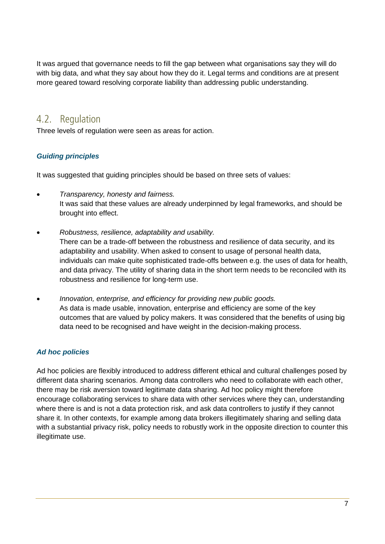It was argued that governance needs to fill the gap between what organisations say they will do with big data, and what they say about how they do it. Legal terms and conditions are at present more geared toward resolving corporate liability than addressing public understanding.

#### 4.2. Regulation

Three levels of regulation were seen as areas for action.

#### *Guiding principles*

It was suggested that guiding principles should be based on three sets of values:

- *Transparency, honesty and fairness.*  It was said that these values are already underpinned by legal frameworks, and should be brought into effect.
- *Robustness, resilience, adaptability and usability.*  There can be a trade-off between the robustness and resilience of data security, and its adaptability and usability. When asked to consent to usage of personal health data, individuals can make quite sophisticated trade-offs between e.g. the uses of data for health, and data privacy. The utility of sharing data in the short term needs to be reconciled with its robustness and resilience for long-term use.
- *Innovation, enterprise, and efficiency for providing new public goods.*  As data is made usable, innovation, enterprise and efficiency are some of the key outcomes that are valued by policy makers. It was considered that the benefits of using big data need to be recognised and have weight in the decision-making process.

#### *Ad hoc policies*

Ad hoc policies are flexibly introduced to address different ethical and cultural challenges posed by different data sharing scenarios. Among data controllers who need to collaborate with each other, there may be risk aversion toward legitimate data sharing. Ad hoc policy might therefore encourage collaborating services to share data with other services where they can, understanding where there is and is not a data protection risk, and ask data controllers to justify if they cannot share it. In other contexts, for example among data brokers illegitimately sharing and selling data with a substantial privacy risk, policy needs to robustly work in the opposite direction to counter this illegitimate use.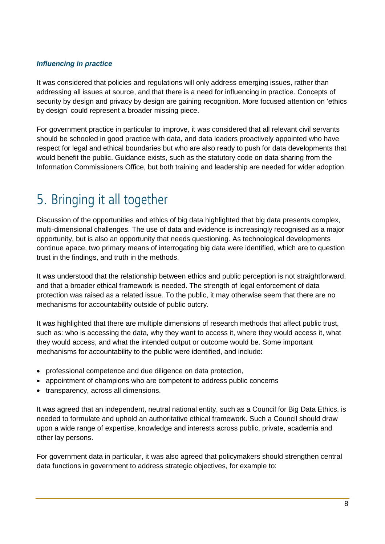#### *Influencing in practice*

It was considered that policies and regulations will only address emerging issues, rather than addressing all issues at source, and that there is a need for influencing in practice. Concepts of security by design and privacy by design are gaining recognition. More focused attention on 'ethics by design' could represent a broader missing piece.

For government practice in particular to improve, it was considered that all relevant civil servants should be schooled in good practice with data, and data leaders proactively appointed who have respect for legal and ethical boundaries but who are also ready to push for data developments that would benefit the public. Guidance exists, such as the statutory code on data sharing from the Information Commissioners Office, but both training and leadership are needed for wider adoption.

### 5. Bringing it all together

Discussion of the opportunities and ethics of big data highlighted that big data presents complex, multi-dimensional challenges. The use of data and evidence is increasingly recognised as a major opportunity, but is also an opportunity that needs questioning. As technological developments continue apace, two primary means of interrogating big data were identified, which are to question trust in the findings, and truth in the methods.

It was understood that the relationship between ethics and public perception is not straightforward, and that a broader ethical framework is needed. The strength of legal enforcement of data protection was raised as a related issue. To the public, it may otherwise seem that there are no mechanisms for accountability outside of public outcry.

It was highlighted that there are multiple dimensions of research methods that affect public trust, such as: who is accessing the data, why they want to access it, where they would access it, what they would access, and what the intended output or outcome would be. Some important mechanisms for accountability to the public were identified, and include:

- professional competence and due diligence on data protection,
- appointment of champions who are competent to address public concerns
- transparency, across all dimensions.

It was agreed that an independent, neutral national entity, such as a Council for Big Data Ethics, is needed to formulate and uphold an authoritative ethical framework. Such a Council should draw upon a wide range of expertise, knowledge and interests across public, private, academia and other lay persons.

For government data in particular, it was also agreed that policymakers should strengthen central data functions in government to address strategic objectives, for example to: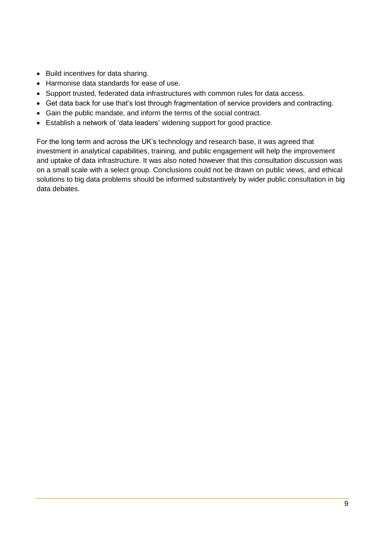- Build incentives for data sharing.
- Harmonise data standards for ease of use.
- Support trusted, federated data infrastructures with common rules for data access.
- Get data back for use that's lost through fragmentation of service providers and contracting.
- Gain the public mandate, and inform the terms of the social contract.
- Establish a network of 'data leaders' widening support for good practice.

For the long term and across the UK's technology and research base, it was agreed that investment in analytical capabilities, training, and public engagement will help the improvement and uptake of data infrastructure. It was also noted however that this consultation discussion was on a small scale with a select group. Conclusions could not be drawn on public views, and ethical solutions to big data problems should be informed substantively by wider public consultation in big data debates.